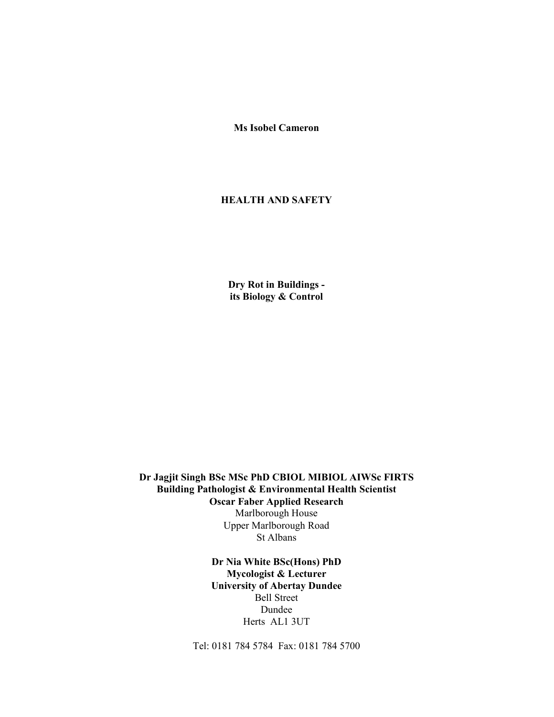Ms Isobel Cameron

# HEALTH AND SAFETY

 Dry Rot in Buildings its Biology & Control

 Dr Jagjit Singh BSc MSc PhD CBIOL MIBIOL AIWSc FIRTS Building Pathologist & Environmental Health Scientist Oscar Faber Applied Research Marlborough House Upper Marlborough Road St Albans

> Dr Nia White BSc(Hons) PhD Mycologist & Lecturer University of Abertay Dundee Bell Street Dundee Herts AL1 3UT

Tel: 0181 784 5784 Fax: 0181 784 5700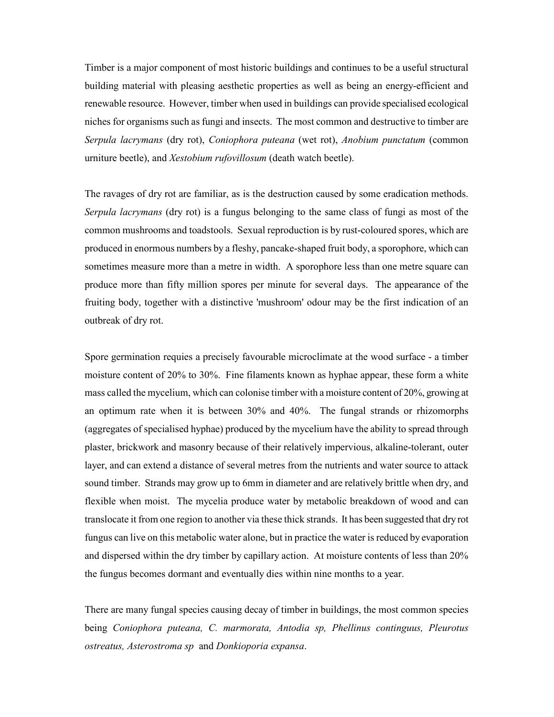Timber is a major component of most historic buildings and continues to be a useful structural building material with pleasing aesthetic properties as well as being an energy-efficient and renewable resource. However, timber when used in buildings can provide specialised ecological niches for organisms such as fungi and insects. The most common and destructive to timber are Serpula lacrymans (dry rot), Coniophora puteana (wet rot), Anobium punctatum (common urniture beetle), and Xestobium rufovillosum (death watch beetle).

The ravages of dry rot are familiar, as is the destruction caused by some eradication methods. Serpula lacrymans (dry rot) is a fungus belonging to the same class of fungi as most of the common mushrooms and toadstools. Sexual reproduction is by rust-coloured spores, which are produced in enormous numbers by a fleshy, pancake-shaped fruit body, a sporophore, which can sometimes measure more than a metre in width. A sporophore less than one metre square can produce more than fifty million spores per minute for several days. The appearance of the fruiting body, together with a distinctive 'mushroom' odour may be the first indication of an outbreak of dry rot.

Spore germination requies a precisely favourable microclimate at the wood surface - a timber moisture content of 20% to 30%. Fine filaments known as hyphae appear, these form a white mass called the mycelium, which can colonise timber with a moisture content of 20%, growing at an optimum rate when it is between 30% and 40%. The fungal strands or rhizomorphs (aggregates of specialised hyphae) produced by the mycelium have the ability to spread through plaster, brickwork and masonry because of their relatively impervious, alkaline-tolerant, outer layer, and can extend a distance of several metres from the nutrients and water source to attack sound timber. Strands may grow up to 6mm in diameter and are relatively brittle when dry, and flexible when moist. The mycelia produce water by metabolic breakdown of wood and can translocate it from one region to another via these thick strands. It has been suggested that dry rot fungus can live on this metabolic water alone, but in practice the water is reduced by evaporation and dispersed within the dry timber by capillary action. At moisture contents of less than 20% the fungus becomes dormant and eventually dies within nine months to a year.

There are many fungal species causing decay of timber in buildings, the most common species being Coniophora puteana, C. marmorata, Antodia sp, Phellinus continguus, Pleurotus ostreatus, Asterostroma sp and Donkioporia expansa.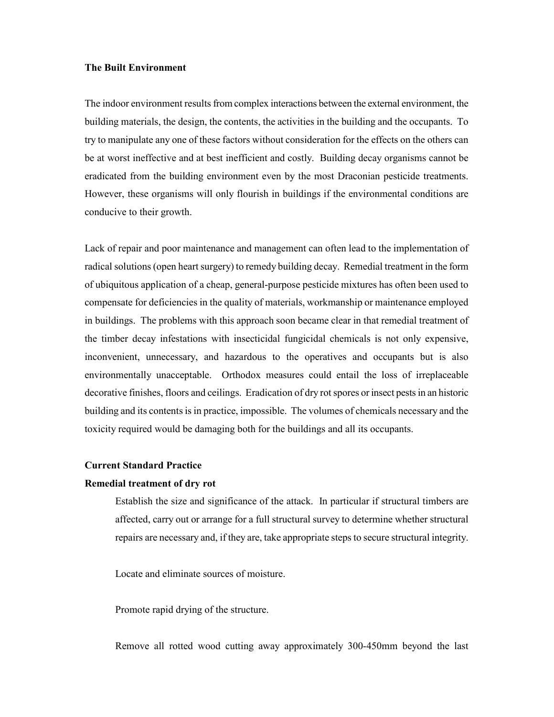### The Built Environment

The indoor environment results from complex interactions between the external environment, the building materials, the design, the contents, the activities in the building and the occupants. To try to manipulate any one of these factors without consideration for the effects on the others can be at worst ineffective and at best inefficient and costly. Building decay organisms cannot be eradicated from the building environment even by the most Draconian pesticide treatments. However, these organisms will only flourish in buildings if the environmental conditions are conducive to their growth.

Lack of repair and poor maintenance and management can often lead to the implementation of radical solutions (open heart surgery) to remedy building decay. Remedial treatment in the form of ubiquitous application of a cheap, general-purpose pesticide mixtures has often been used to compensate for deficiencies in the quality of materials, workmanship or maintenance employed in buildings. The problems with this approach soon became clear in that remedial treatment of the timber decay infestations with insecticidal fungicidal chemicals is not only expensive, inconvenient, unnecessary, and hazardous to the operatives and occupants but is also environmentally unacceptable. Orthodox measures could entail the loss of irreplaceable decorative finishes, floors and ceilings. Eradication of dry rot spores or insect pests in an historic building and its contents is in practice, impossible. The volumes of chemicals necessary and the toxicity required would be damaging both for the buildings and all its occupants.

## Current Standard Practice

### Remedial treatment of dry rot

Establish the size and significance of the attack. In particular if structural timbers are affected, carry out or arrange for a full structural survey to determine whether structural repairs are necessary and, if they are, take appropriate steps to secure structural integrity.

Locate and eliminate sources of moisture.

Promote rapid drying of the structure.

Remove all rotted wood cutting away approximately 300-450mm beyond the last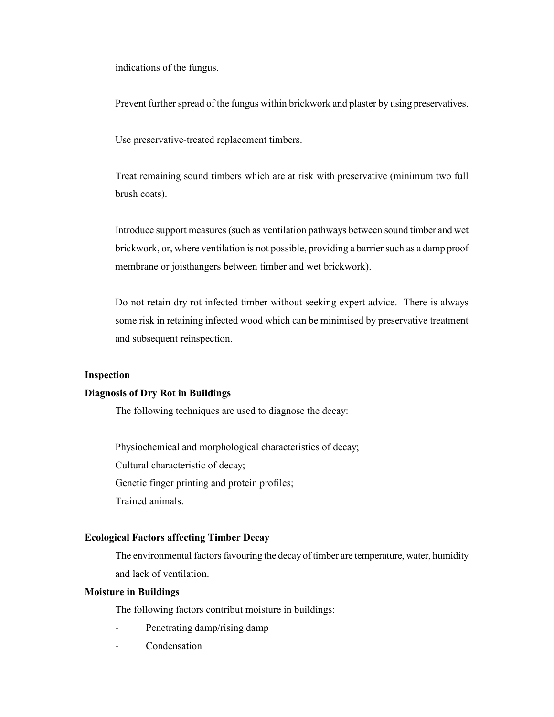indications of the fungus.

Prevent further spread of the fungus within brickwork and plaster by using preservatives.

Use preservative-treated replacement timbers.

Treat remaining sound timbers which are at risk with preservative (minimum two full brush coats).

Introduce support measures (such as ventilation pathways between sound timber and wet brickwork, or, where ventilation is not possible, providing a barrier such as a damp proof membrane or joisthangers between timber and wet brickwork).

Do not retain dry rot infected timber without seeking expert advice. There is always some risk in retaining infected wood which can be minimised by preservative treatment and subsequent reinspection.

## Inspection

### Diagnosis of Dry Rot in Buildings

The following techniques are used to diagnose the decay:

Physiochemical and morphological characteristics of decay;

Cultural characteristic of decay;

Genetic finger printing and protein profiles;

Trained animals.

### Ecological Factors affecting Timber Decay

The environmental factors favouring the decay of timber are temperature, water, humidity and lack of ventilation.

### Moisture in Buildings

The following factors contribut moisture in buildings:

- Penetrating damp/rising damp
- **Condensation**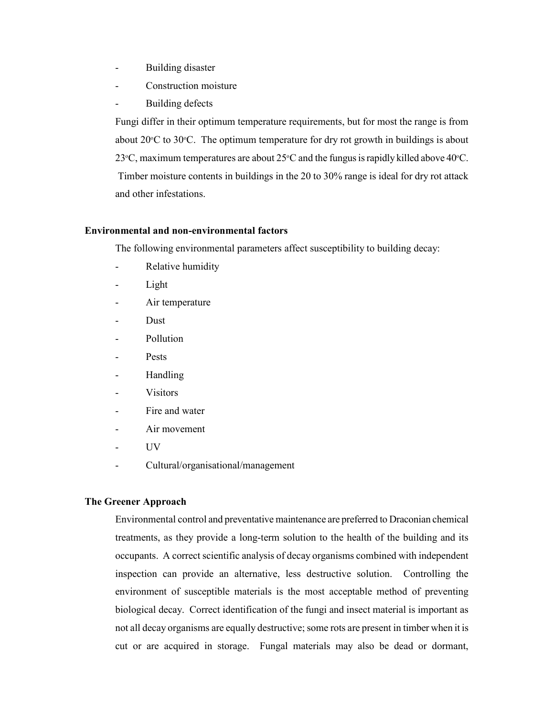- Building disaster
- Construction moisture
- Building defects

Fungi differ in their optimum temperature requirements, but for most the range is from about  $20^{\circ}$ C to  $30^{\circ}$ C. The optimum temperature for dry rot growth in buildings is about 23 $\degree$ C, maximum temperatures are about 25 $\degree$ C and the fungus is rapidly killed above 40 $\degree$ C. Timber moisture contents in buildings in the 20 to 30% range is ideal for dry rot attack and other infestations.

### Environmental and non-environmental factors

The following environmental parameters affect susceptibility to building decay:

- Relative humidity
- Light
- Air temperature
- Dust.
- Pollution
- Pests
- Handling
- **Visitors**
- Fire and water
- Air movement
- UV
- Cultural/organisational/management

#### The Greener Approach

Environmental control and preventative maintenance are preferred to Draconian chemical treatments, as they provide a long-term solution to the health of the building and its occupants. A correct scientific analysis of decay organisms combined with independent inspection can provide an alternative, less destructive solution. Controlling the environment of susceptible materials is the most acceptable method of preventing biological decay. Correct identification of the fungi and insect material is important as not all decay organisms are equally destructive; some rots are present in timber when it is cut or are acquired in storage. Fungal materials may also be dead or dormant,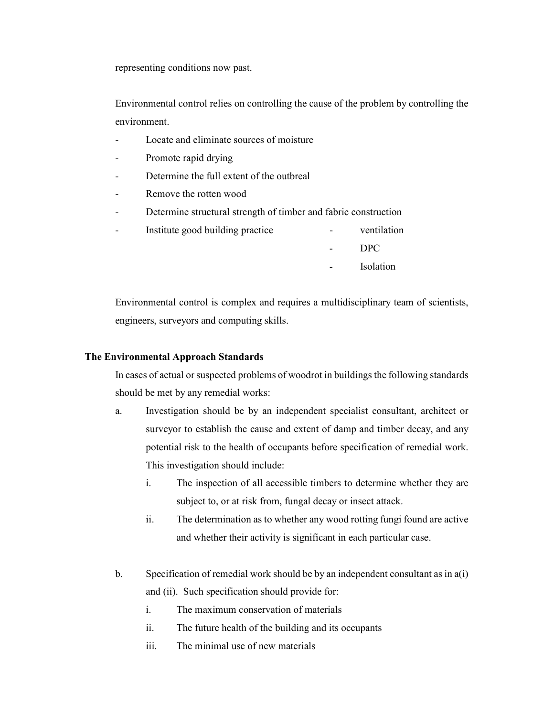representing conditions now past.

Environmental control relies on controlling the cause of the problem by controlling the environment.

- Locate and eliminate sources of moisture
- Promote rapid drying
- Determine the full extent of the outbreal
- Remove the rotten wood
- Determine structural strength of timber and fabric construction
- Institute good building practice  $\qquad \qquad -$  ventilation
	- DPC
	- Isolation

Environmental control is complex and requires a multidisciplinary team of scientists, engineers, surveyors and computing skills.

### The Environmental Approach Standards

In cases of actual or suspected problems of woodrot in buildings the following standards should be met by any remedial works:

- a. Investigation should be by an independent specialist consultant, architect or surveyor to establish the cause and extent of damp and timber decay, and any potential risk to the health of occupants before specification of remedial work. This investigation should include:
	- i. The inspection of all accessible timbers to determine whether they are subject to, or at risk from, fungal decay or insect attack.
	- ii. The determination as to whether any wood rotting fungi found are active and whether their activity is significant in each particular case.
- b. Specification of remedial work should be by an independent consultant as in a(i) and (ii). Such specification should provide for:
	- i. The maximum conservation of materials
	- ii. The future health of the building and its occupants
	- iii. The minimal use of new materials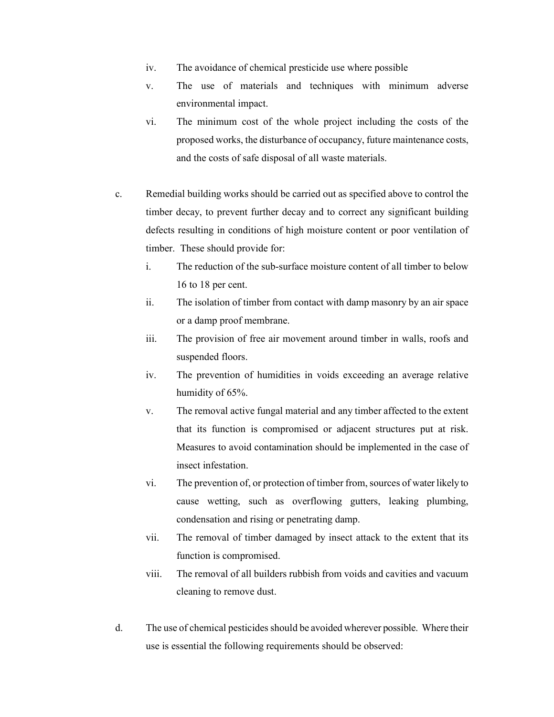- iv. The avoidance of chemical presticide use where possible
- v. The use of materials and techniques with minimum adverse environmental impact.
- vi. The minimum cost of the whole project including the costs of the proposed works, the disturbance of occupancy, future maintenance costs, and the costs of safe disposal of all waste materials.
- c. Remedial building works should be carried out as specified above to control the timber decay, to prevent further decay and to correct any significant building defects resulting in conditions of high moisture content or poor ventilation of timber. These should provide for:
	- i. The reduction of the sub-surface moisture content of all timber to below 16 to 18 per cent.
	- ii. The isolation of timber from contact with damp masonry by an air space or a damp proof membrane.
	- iii. The provision of free air movement around timber in walls, roofs and suspended floors.
	- iv. The prevention of humidities in voids exceeding an average relative humidity of 65%.
	- v. The removal active fungal material and any timber affected to the extent that its function is compromised or adjacent structures put at risk. Measures to avoid contamination should be implemented in the case of insect infestation.
	- vi. The prevention of, or protection of timber from, sources of water likely to cause wetting, such as overflowing gutters, leaking plumbing, condensation and rising or penetrating damp.
	- vii. The removal of timber damaged by insect attack to the extent that its function is compromised.
	- viii. The removal of all builders rubbish from voids and cavities and vacuum cleaning to remove dust.
- d. The use of chemical pesticides should be avoided wherever possible. Where their use is essential the following requirements should be observed: